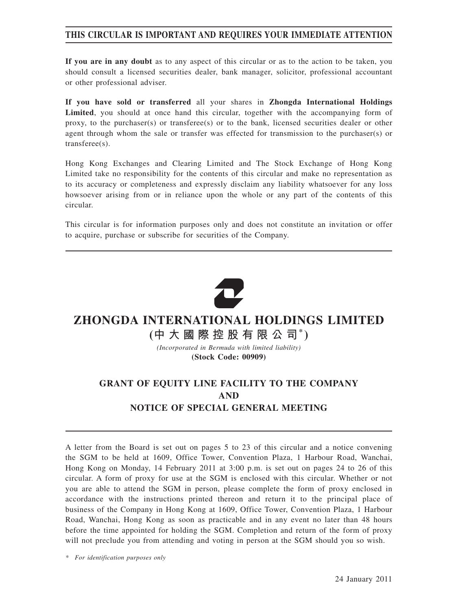## **THIS CIRCULAR IS IMPORTANT AND REQUIRES YOUR IMMEDIATE ATTENTION**

**If you are in any doubt** as to any aspect of this circular or as to the action to be taken, you should consult a licensed securities dealer, bank manager, solicitor, professional accountant or other professional adviser.

**If you have sold or transferred** all your shares in **Zhongda International Holdings Limited**, you should at once hand this circular, together with the accompanying form of proxy, to the purchaser(s) or transferee(s) or to the bank, licensed securities dealer or other agent through whom the sale or transfer was effected for transmission to the purchaser(s) or transferee(s).

Hong Kong Exchanges and Clearing Limited and The Stock Exchange of Hong Kong Limited take no responsibility for the contents of this circular and make no representation as to its accuracy or completeness and expressly disclaim any liability whatsoever for any loss howsoever arising from or in reliance upon the whole or any part of the contents of this circular.

This circular is for information purposes only and does not constitute an invitation or offer to acquire, purchase or subscribe for securities of the Company.



# **ZHONGDA INTERNATIONAL HOLDINGS LIMITED**

**(中大國際控股有限公司\* )**

*(Incorporated in Bermuda with limited liability)* **(Stock Code: 00909)**

# **GRANT OF EQUITY LINE FACILITY TO THE COMPANY AND NOTICE OF SPECIAL GENERAL MEETING**

A letter from the Board is set out on pages 5 to 23 of this circular and a notice convening the SGM to be held at 1609, Office Tower, Convention Plaza, 1 Harbour Road, Wanchai, Hong Kong on Monday, 14 February 2011 at 3:00 p.m. is set out on pages 24 to 26 of this circular. A form of proxy for use at the SGM is enclosed with this circular. Whether or not you are able to attend the SGM in person, please complete the form of proxy enclosed in accordance with the instructions printed thereon and return it to the principal place of business of the Company in Hong Kong at 1609, Office Tower, Convention Plaza, 1 Harbour Road, Wanchai, Hong Kong as soon as practicable and in any event no later than 48 hours before the time appointed for holding the SGM. Completion and return of the form of proxy will not preclude you from attending and voting in person at the SGM should you so wish.

*\* For identification purposes only*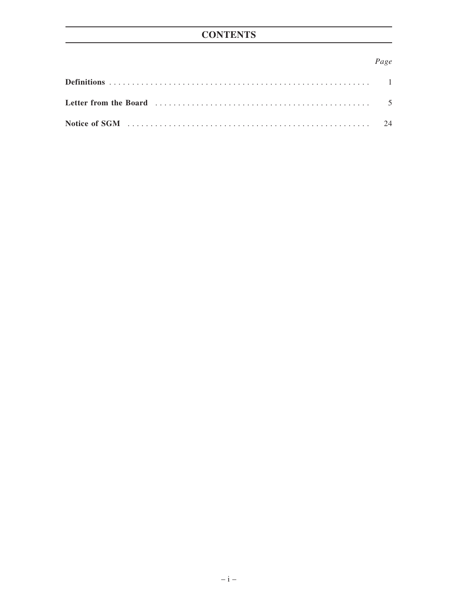# **CONTENTS**

## Page

| Letter from the Board (1) contained the contract of the state of the state of the state of the state of the state of the state of the state of the state of the state of the state of the state of the state of the state of t |  |
|--------------------------------------------------------------------------------------------------------------------------------------------------------------------------------------------------------------------------------|--|
|                                                                                                                                                                                                                                |  |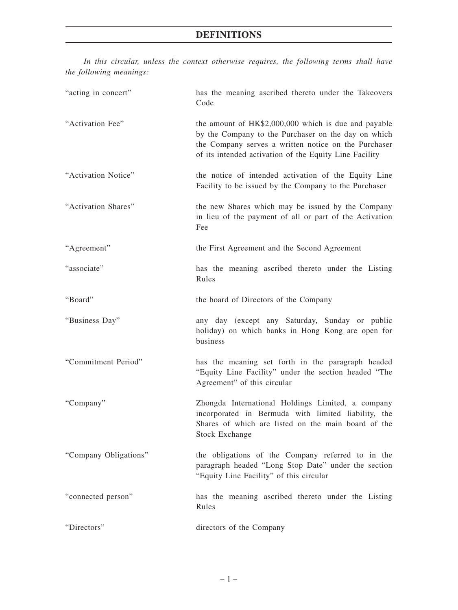*In this circular, unless the context otherwise requires, the following terms shall have the following meanings:*

| "acting in concert"   | has the meaning ascribed thereto under the Takeovers<br>Code                                                                                                                                                                  |
|-----------------------|-------------------------------------------------------------------------------------------------------------------------------------------------------------------------------------------------------------------------------|
| "Activation Fee"      | the amount of HK\$2,000,000 which is due and payable<br>by the Company to the Purchaser on the day on which<br>the Company serves a written notice on the Purchaser<br>of its intended activation of the Equity Line Facility |
| "Activation Notice"   | the notice of intended activation of the Equity Line<br>Facility to be issued by the Company to the Purchaser                                                                                                                 |
| "Activation Shares"   | the new Shares which may be issued by the Company<br>in lieu of the payment of all or part of the Activation<br>Fee                                                                                                           |
| "Agreement"           | the First Agreement and the Second Agreement                                                                                                                                                                                  |
| "associate"           | has the meaning ascribed thereto under the Listing<br>Rules                                                                                                                                                                   |
| "Board"               | the board of Directors of the Company                                                                                                                                                                                         |
| "Business Day"        | any day (except any Saturday, Sunday or public<br>holiday) on which banks in Hong Kong are open for<br>business                                                                                                               |
| "Commitment Period"   | has the meaning set forth in the paragraph headed<br>"Equity Line Facility" under the section headed "The<br>Agreement" of this circular                                                                                      |
| "Company"             | Zhongda International Holdings Limited, a company<br>incorporated in Bermuda with limited liability, the<br>Shares of which are listed on the main board of the<br>Stock Exchange                                             |
| "Company Obligations" | the obligations of the Company referred to in the<br>paragraph headed "Long Stop Date" under the section<br>"Equity Line Facility" of this circular                                                                           |
| "connected person"    | has the meaning ascribed thereto under the Listing<br>Rules                                                                                                                                                                   |
| "Directors"           | directors of the Company                                                                                                                                                                                                      |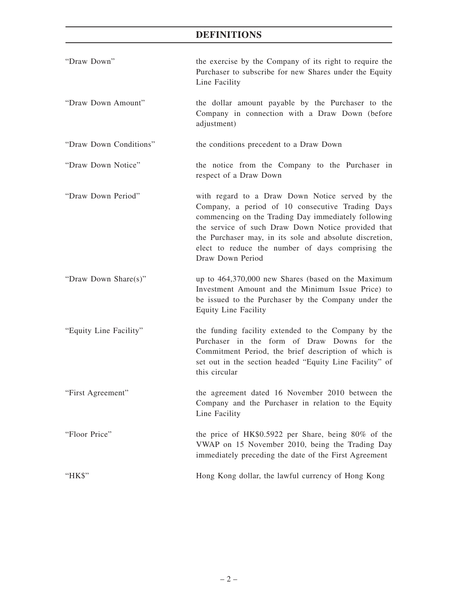# **DEFINITIONS**

| "Draw Down"            | the exercise by the Company of its right to require the<br>Purchaser to subscribe for new Shares under the Equity<br>Line Facility                                                                                                                                                                                                                   |
|------------------------|------------------------------------------------------------------------------------------------------------------------------------------------------------------------------------------------------------------------------------------------------------------------------------------------------------------------------------------------------|
| "Draw Down Amount"     | the dollar amount payable by the Purchaser to the<br>Company in connection with a Draw Down (before<br>adjustment)                                                                                                                                                                                                                                   |
| "Draw Down Conditions" | the conditions precedent to a Draw Down                                                                                                                                                                                                                                                                                                              |
| "Draw Down Notice"     | the notice from the Company to the Purchaser in<br>respect of a Draw Down                                                                                                                                                                                                                                                                            |
| "Draw Down Period"     | with regard to a Draw Down Notice served by the<br>Company, a period of 10 consecutive Trading Days<br>commencing on the Trading Day immediately following<br>the service of such Draw Down Notice provided that<br>the Purchaser may, in its sole and absolute discretion,<br>elect to reduce the number of days comprising the<br>Draw Down Period |
| "Draw Down Share(s)"   | up to 464,370,000 new Shares (based on the Maximum<br>Investment Amount and the Minimum Issue Price) to<br>be issued to the Purchaser by the Company under the<br><b>Equity Line Facility</b>                                                                                                                                                        |
| "Equity Line Facility" | the funding facility extended to the Company by the<br>Purchaser in the form of Draw Downs for the<br>Commitment Period, the brief description of which is<br>set out in the section headed "Equity Line Facility" of<br>this circular                                                                                                               |
| "First Agreement"      | the agreement dated 16 November 2010 between the<br>Company and the Purchaser in relation to the Equity<br>Line Facility                                                                                                                                                                                                                             |
| "Floor Price"          | the price of HK\$0.5922 per Share, being 80% of the<br>VWAP on 15 November 2010, being the Trading Day<br>immediately preceding the date of the First Agreement                                                                                                                                                                                      |
| "HK\$"                 | Hong Kong dollar, the lawful currency of Hong Kong                                                                                                                                                                                                                                                                                                   |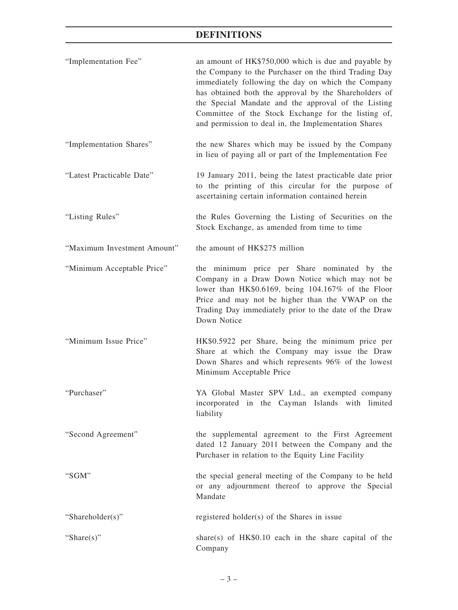# **DEFINITIONS**

| "Implementation Fee"        | an amount of HK\$750,000 which is due and payable by<br>the Company to the Purchaser on the third Trading Day<br>immediately following the day on which the Company<br>has obtained both the approval by the Shareholders of<br>the Special Mandate and the approval of the Listing<br>Committee of the Stock Exchange for the listing of,<br>and permission to deal in, the Implementation Shares |
|-----------------------------|----------------------------------------------------------------------------------------------------------------------------------------------------------------------------------------------------------------------------------------------------------------------------------------------------------------------------------------------------------------------------------------------------|
| "Implementation Shares"     | the new Shares which may be issued by the Company<br>in lieu of paying all or part of the Implementation Fee                                                                                                                                                                                                                                                                                       |
| "Latest Practicable Date"   | 19 January 2011, being the latest practicable date prior<br>to the printing of this circular for the purpose of<br>ascertaining certain information contained herein                                                                                                                                                                                                                               |
| "Listing Rules"             | the Rules Governing the Listing of Securities on the<br>Stock Exchange, as amended from time to time                                                                                                                                                                                                                                                                                               |
| "Maximum Investment Amount" | the amount of HK\$275 million                                                                                                                                                                                                                                                                                                                                                                      |
| "Minimum Acceptable Price"  | the minimum price per Share nominated by the<br>Company in a Draw Down Notice which may not be<br>lower than HK\$0.6169, being 104.167% of the Floor<br>Price and may not be higher than the VWAP on the<br>Trading Day immediately prior to the date of the Draw<br>Down Notice                                                                                                                   |
| "Minimum Issue Price"       | HK\$0.5922 per Share, being the minimum price per<br>Share at which the Company may issue the Draw<br>Down Shares and which represents 96% of the lowest<br>Minimum Acceptable Price                                                                                                                                                                                                               |
| "Purchaser"                 | YA Global Master SPV Ltd., an exempted company<br>incorporated in the Cayman Islands with limited<br>liability                                                                                                                                                                                                                                                                                     |
| "Second Agreement"          | the supplemental agreement to the First Agreement<br>dated 12 January 2011 between the Company and the<br>Purchaser in relation to the Equity Line Facility                                                                                                                                                                                                                                        |
| "SGM"                       | the special general meeting of the Company to be held<br>or any adjournment thereof to approve the Special<br>Mandate                                                                                                                                                                                                                                                                              |
| "Shareholder(s)"            | registered holder(s) of the Shares in issue                                                                                                                                                                                                                                                                                                                                                        |
| "Share $(s)$ "              | share(s) of $HK$0.10$ each in the share capital of the<br>Company                                                                                                                                                                                                                                                                                                                                  |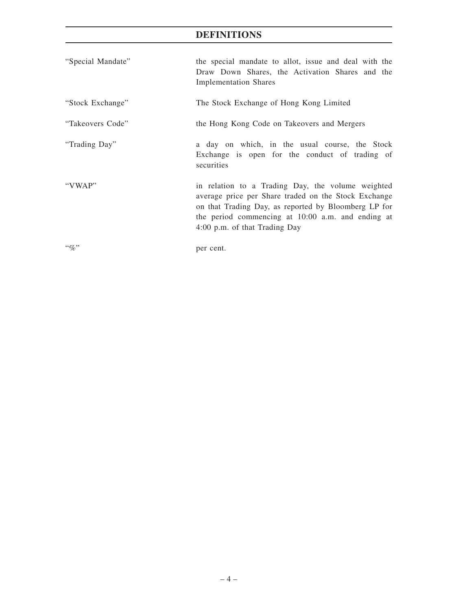# **DEFINITIONS**

| "Special Mandate" | the special mandate to allot, issue and deal with the<br>Draw Down Shares, the Activation Shares and the                                                                                                                                                |  |  |  |  |
|-------------------|---------------------------------------------------------------------------------------------------------------------------------------------------------------------------------------------------------------------------------------------------------|--|--|--|--|
|                   | <b>Implementation Shares</b>                                                                                                                                                                                                                            |  |  |  |  |
| "Stock Exchange"  | The Stock Exchange of Hong Kong Limited                                                                                                                                                                                                                 |  |  |  |  |
| "Takeovers Code"  | the Hong Kong Code on Takeovers and Mergers                                                                                                                                                                                                             |  |  |  |  |
| "Trading Day"     | a day on which, in the usual course, the Stock<br>Exchange is open for the conduct of trading of<br>securities                                                                                                                                          |  |  |  |  |
| "VWAP"            | in relation to a Trading Day, the volume weighted<br>average price per Share traded on the Stock Exchange<br>on that Trading Day, as reported by Bloomberg LP for<br>the period commencing at 10:00 a.m. and ending at<br>4:00 p.m. of that Trading Day |  |  |  |  |
|                   | per cent.                                                                                                                                                                                                                                               |  |  |  |  |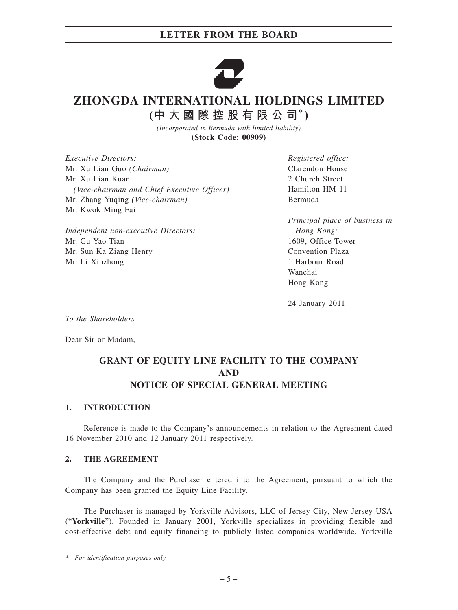

# **ZHONGDA INTERNATIONAL HOLDINGS LIMITED**

**(中大國際控股有限公司\* )**

*(Incorporated in Bermuda with limited liability)* **(Stock Code: 00909)**

*Executive Directors:* Mr. Xu Lian Guo *(Chairman)* Mr. Xu Lian Kuan *(Vice-chairman and Chief Executive Officer)* Mr. Zhang Yuqing *(Vice-chairman)* Mr. Kwok Ming Fai

*Independent non-executive Directors:* Mr. Gu Yao Tian Mr. Sun Ka Ziang Henry Mr. Li Xinzhong

*Registered office:* Clarendon House 2 Church Street Hamilton HM 11 Bermuda

*Principal place of business in Hong Kong:* 1609, Office Tower Convention Plaza 1 Harbour Road Wanchai Hong Kong

24 January 2011

*To the Shareholders*

Dear Sir or Madam,

## **GRANT OF EQUITY LINE FACILITY TO THE COMPANY AND NOTICE OF SPECIAL GENERAL MEETING**

### **1. INTRODUCTION**

Reference is made to the Company's announcements in relation to the Agreement dated 16 November 2010 and 12 January 2011 respectively.

#### **2. THE AGREEMENT**

The Company and the Purchaser entered into the Agreement, pursuant to which the Company has been granted the Equity Line Facility.

The Purchaser is managed by Yorkville Advisors, LLC of Jersey City, New Jersey USA ("**Yorkville**"). Founded in January 2001, Yorkville specializes in providing flexible and cost-effective debt and equity financing to publicly listed companies worldwide. Yorkville

*<sup>\*</sup> For identification purposes only*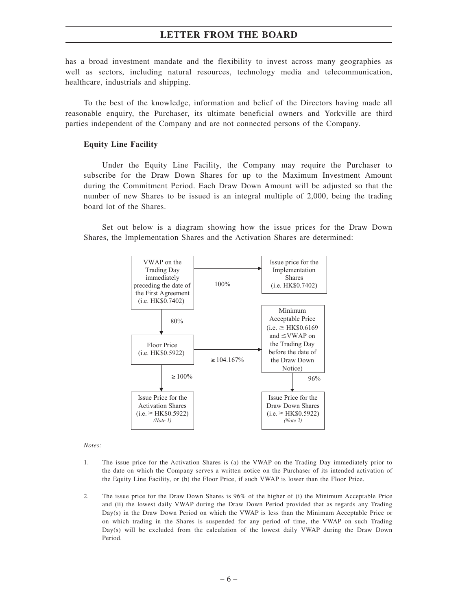has a broad investment mandate and the flexibility to invest across many geographies as well as sectors, including natural resources, technology media and telecommunication, healthcare, industrials and shipping.

To the best of the knowledge, information and belief of the Directors having made all reasonable enquiry, the Purchaser, its ultimate beneficial owners and Yorkville are third parties independent of the Company and are not connected persons of the Company.

#### **Equity Line Facility**

Under the Equity Line Facility, the Company may require the Purchaser to subscribe for the Draw Down Shares for up to the Maximum Investment Amount during the Commitment Period. Each Draw Down Amount will be adjusted so that the number of new Shares to be issued is an integral multiple of 2,000, being the trading board lot of the Shares.

Set out below is a diagram showing how the issue prices for the Draw Down Shares, the Implementation Shares and the Activation Shares are determined:



*Notes:*

- 1. The issue price for the Activation Shares is (a) the VWAP on the Trading Day immediately prior to the date on which the Company serves a written notice on the Purchaser of its intended activation of the Equity Line Facility, or (b) the Floor Price, if such VWAP is lower than the Floor Price.
- 2. The issue price for the Draw Down Shares is 96% of the higher of (i) the Minimum Acceptable Price and (ii) the lowest daily VWAP during the Draw Down Period provided that as regards any Trading Day(s) in the Draw Down Period on which the VWAP is less than the Minimum Acceptable Price or on which trading in the Shares is suspended for any period of time, the VWAP on such Trading Day(s) will be excluded from the calculation of the lowest daily VWAP during the Draw Down Period.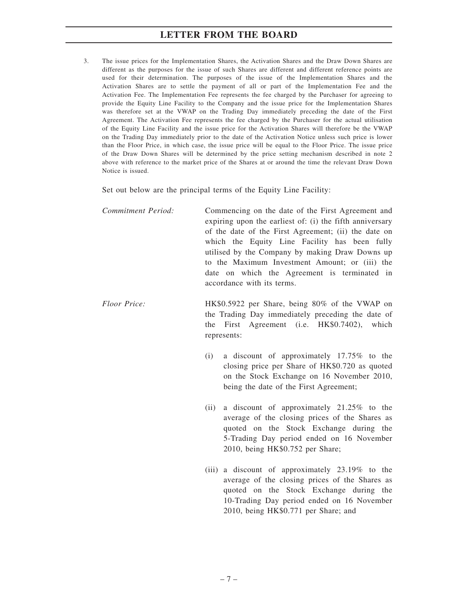3. The issue prices for the Implementation Shares, the Activation Shares and the Draw Down Shares are different as the purposes for the issue of such Shares are different and different reference points are used for their determination. The purposes of the issue of the Implementation Shares and the Activation Shares are to settle the payment of all or part of the Implementation Fee and the Activation Fee. The Implementation Fee represents the fee charged by the Purchaser for agreeing to provide the Equity Line Facility to the Company and the issue price for the Implementation Shares was therefore set at the VWAP on the Trading Day immediately preceding the date of the First Agreement. The Activation Fee represents the fee charged by the Purchaser for the actual utilisation of the Equity Line Facility and the issue price for the Activation Shares will therefore be the VWAP on the Trading Day immediately prior to the date of the Activation Notice unless such price is lower than the Floor Price, in which case, the issue price will be equal to the Floor Price. The issue price of the Draw Down Shares will be determined by the price setting mechanism described in note 2 above with reference to the market price of the Shares at or around the time the relevant Draw Down Notice is issued.

Set out below are the principal terms of the Equity Line Facility:

*Commitment Period:* Commencing on the date of the First Agreement and expiring upon the earliest of: (i) the fifth anniversary of the date of the First Agreement; (ii) the date on which the Equity Line Facility has been fully utilised by the Company by making Draw Downs up to the Maximum Investment Amount; or (iii) the date on which the Agreement is terminated in accordance with its terms.

- *Floor Price:* HK\$0.5922 per Share, being 80% of the VWAP on the Trading Day immediately preceding the date of the First Agreement (i.e. HK\$0.7402), which represents:
	- (i) a discount of approximately 17.75% to the closing price per Share of HK\$0.720 as quoted on the Stock Exchange on 16 November 2010, being the date of the First Agreement;
	- (ii) a discount of approximately 21.25% to the average of the closing prices of the Shares as quoted on the Stock Exchange during the 5-Trading Day period ended on 16 November 2010, being HK\$0.752 per Share;
	- (iii) a discount of approximately 23.19% to the average of the closing prices of the Shares as quoted on the Stock Exchange during the 10-Trading Day period ended on 16 November 2010, being HK\$0.771 per Share; and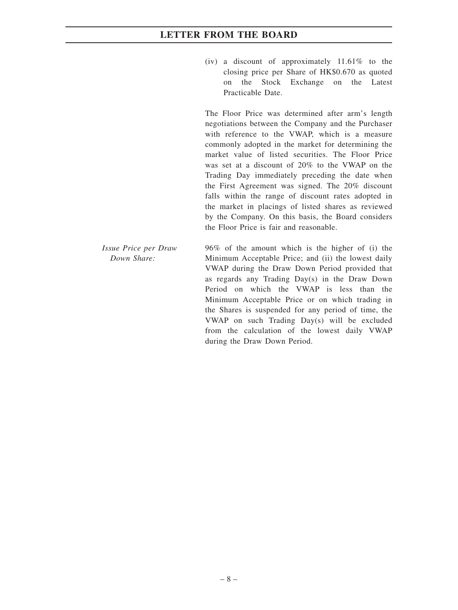(iv) a discount of approximately  $11.61\%$  to the closing price per Share of HK\$0.670 as quoted on the Stock Exchange on the Latest Practicable Date.

The Floor Price was determined after arm's length negotiations between the Company and the Purchaser with reference to the VWAP, which is a measure commonly adopted in the market for determining the market value of listed securities. The Floor Price was set at a discount of 20% to the VWAP on the Trading Day immediately preceding the date when the First Agreement was signed. The 20% discount falls within the range of discount rates adopted in the market in placings of listed shares as reviewed by the Company. On this basis, the Board considers the Floor Price is fair and reasonable.

*Issue Price per Draw Down Share:*

96% of the amount which is the higher of (i) the Minimum Acceptable Price; and (ii) the lowest daily VWAP during the Draw Down Period provided that as regards any Trading Day(s) in the Draw Down Period on which the VWAP is less than the Minimum Acceptable Price or on which trading in the Shares is suspended for any period of time, the VWAP on such Trading Day(s) will be excluded from the calculation of the lowest daily VWAP during the Draw Down Period.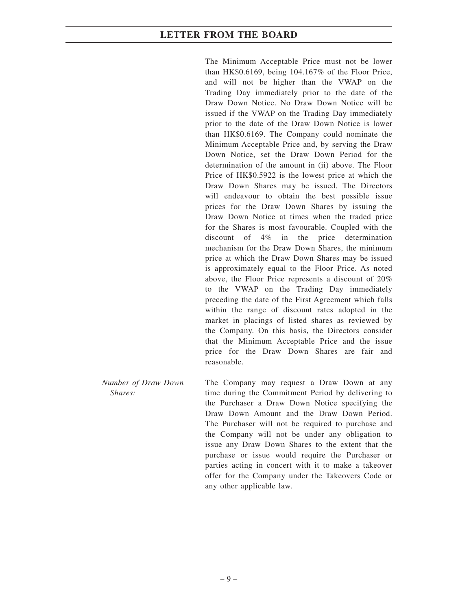The Minimum Acceptable Price must not be lower than HK\$0.6169, being 104.167% of the Floor Price, and will not be higher than the VWAP on the Trading Day immediately prior to the date of the Draw Down Notice. No Draw Down Notice will be issued if the VWAP on the Trading Day immediately prior to the date of the Draw Down Notice is lower than HK\$0.6169. The Company could nominate the Minimum Acceptable Price and, by serving the Draw Down Notice, set the Draw Down Period for the determination of the amount in (ii) above. The Floor Price of HK\$0.5922 is the lowest price at which the Draw Down Shares may be issued. The Directors will endeavour to obtain the best possible issue prices for the Draw Down Shares by issuing the Draw Down Notice at times when the traded price for the Shares is most favourable. Coupled with the discount of 4% in the price determination mechanism for the Draw Down Shares, the minimum price at which the Draw Down Shares may be issued is approximately equal to the Floor Price. As noted above, the Floor Price represents a discount of 20% to the VWAP on the Trading Day immediately preceding the date of the First Agreement which falls within the range of discount rates adopted in the market in placings of listed shares as reviewed by the Company. On this basis, the Directors consider that the Minimum Acceptable Price and the issue price for the Draw Down Shares are fair and reasonable.

*Number of Draw Down Shares:* The Company may request a Draw Down at any time during the Commitment Period by delivering to the Purchaser a Draw Down Notice specifying the Draw Down Amount and the Draw Down Period. The Purchaser will not be required to purchase and the Company will not be under any obligation to issue any Draw Down Shares to the extent that the purchase or issue would require the Purchaser or parties acting in concert with it to make a takeover offer for the Company under the Takeovers Code or any other applicable law.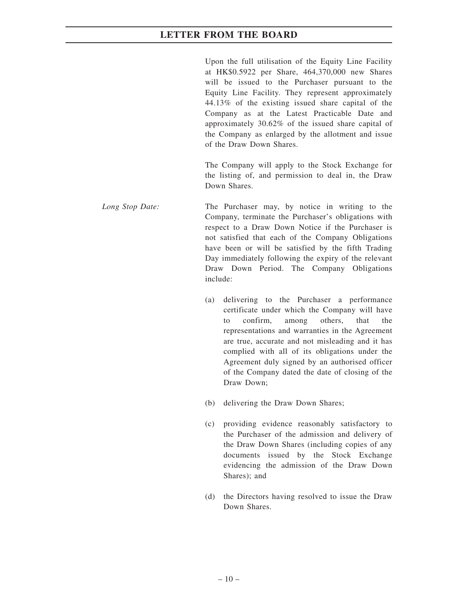Upon the full utilisation of the Equity Line Facility at HK\$0.5922 per Share, 464,370,000 new Shares will be issued to the Purchaser pursuant to the Equity Line Facility. They represent approximately 44.13% of the existing issued share capital of the Company as at the Latest Practicable Date and approximately 30.62% of the issued share capital of the Company as enlarged by the allotment and issue of the Draw Down Shares.

The Company will apply to the Stock Exchange for the listing of, and permission to deal in, the Draw Down Shares.

- *Long Stop Date:* The Purchaser may, by notice in writing to the Company, terminate the Purchaser's obligations with respect to a Draw Down Notice if the Purchaser is not satisfied that each of the Company Obligations have been or will be satisfied by the fifth Trading Day immediately following the expiry of the relevant Draw Down Period. The Company Obligations include:
	- (a) delivering to the Purchaser a performance certificate under which the Company will have to confirm, among others, that the representations and warranties in the Agreement are true, accurate and not misleading and it has complied with all of its obligations under the Agreement duly signed by an authorised officer of the Company dated the date of closing of the Draw Down;
	- (b) delivering the Draw Down Shares;
	- (c) providing evidence reasonably satisfactory to the Purchaser of the admission and delivery of the Draw Down Shares (including copies of any documents issued by the Stock Exchange evidencing the admission of the Draw Down Shares); and
	- (d) the Directors having resolved to issue the Draw Down Shares.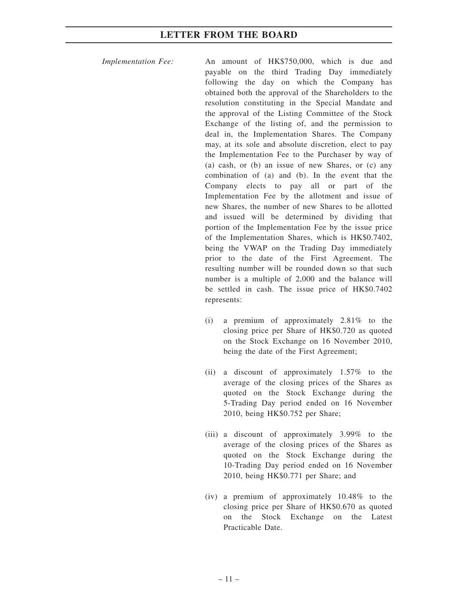*Implementation Fee:* An amount of HK\$750,000, which is due and payable on the third Trading Day immediately following the day on which the Company has obtained both the approval of the Shareholders to the resolution constituting in the Special Mandate and the approval of the Listing Committee of the Stock Exchange of the listing of, and the permission to deal in, the Implementation Shares. The Company may, at its sole and absolute discretion, elect to pay the Implementation Fee to the Purchaser by way of (a) cash, or (b) an issue of new Shares, or (c) any combination of (a) and (b). In the event that the Company elects to pay all or part of the Implementation Fee by the allotment and issue of new Shares, the number of new Shares to be allotted and issued will be determined by dividing that portion of the Implementation Fee by the issue price of the Implementation Shares, which is HK\$0.7402, being the VWAP on the Trading Day immediately prior to the date of the First Agreement. The resulting number will be rounded down so that such number is a multiple of 2,000 and the balance will be settled in cash. The issue price of HK\$0.7402 represents:

- (i) a premium of approximately 2.81% to the closing price per Share of HK\$0.720 as quoted on the Stock Exchange on 16 November 2010, being the date of the First Agreement;
- (ii) a discount of approximately 1.57% to the average of the closing prices of the Shares as quoted on the Stock Exchange during the 5-Trading Day period ended on 16 November 2010, being HK\$0.752 per Share;
- (iii) a discount of approximately 3.99% to the average of the closing prices of the Shares as quoted on the Stock Exchange during the 10-Trading Day period ended on 16 November 2010, being HK\$0.771 per Share; and
- (iv) a premium of approximately 10.48% to the closing price per Share of HK\$0.670 as quoted on the Stock Exchange on the Latest Practicable Date.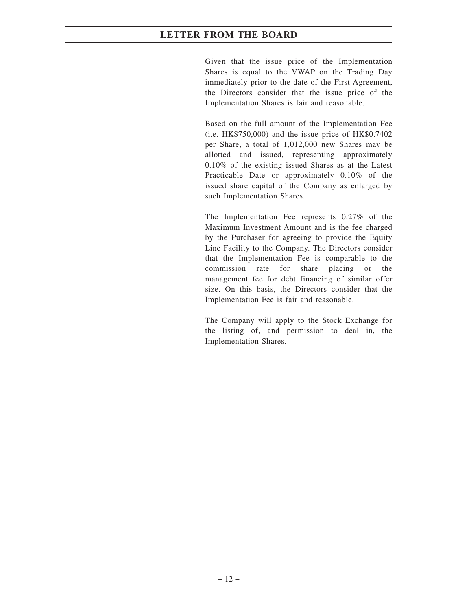Given that the issue price of the Implementation Shares is equal to the VWAP on the Trading Day immediately prior to the date of the First Agreement, the Directors consider that the issue price of the Implementation Shares is fair and reasonable.

Based on the full amount of the Implementation Fee (i.e. HK\$750,000) and the issue price of HK\$0.7402 per Share, a total of 1,012,000 new Shares may be allotted and issued, representing approximately 0.10% of the existing issued Shares as at the Latest Practicable Date or approximately 0.10% of the issued share capital of the Company as enlarged by such Implementation Shares.

The Implementation Fee represents 0.27% of the Maximum Investment Amount and is the fee charged by the Purchaser for agreeing to provide the Equity Line Facility to the Company. The Directors consider that the Implementation Fee is comparable to the commission rate for share placing or the management fee for debt financing of similar offer size. On this basis, the Directors consider that the Implementation Fee is fair and reasonable.

The Company will apply to the Stock Exchange for the listing of, and permission to deal in, the Implementation Shares.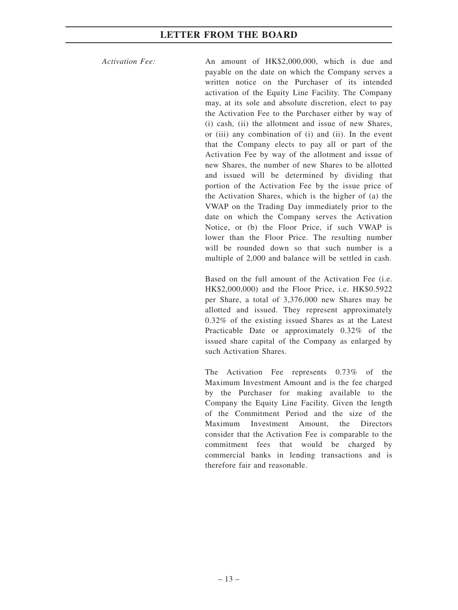*Activation Fee:* An amount of HK\$2,000,000, which is due and payable on the date on which the Company serves a written notice on the Purchaser of its intended activation of the Equity Line Facility. The Company may, at its sole and absolute discretion, elect to pay the Activation Fee to the Purchaser either by way of (i) cash, (ii) the allotment and issue of new Shares, or (iii) any combination of (i) and (ii). In the event that the Company elects to pay all or part of the Activation Fee by way of the allotment and issue of new Shares, the number of new Shares to be allotted and issued will be determined by dividing that portion of the Activation Fee by the issue price of the Activation Shares, which is the higher of (a) the VWAP on the Trading Day immediately prior to the date on which the Company serves the Activation Notice, or (b) the Floor Price, if such VWAP is lower than the Floor Price. The resulting number will be rounded down so that such number is a multiple of 2,000 and balance will be settled in cash.

> Based on the full amount of the Activation Fee (i.e. HK\$2,000,000) and the Floor Price, i.e. HK\$0.5922 per Share, a total of 3,376,000 new Shares may be allotted and issued. They represent approximately 0.32% of the existing issued Shares as at the Latest Practicable Date or approximately 0.32% of the issued share capital of the Company as enlarged by such Activation Shares.

> The Activation Fee represents 0.73% of the Maximum Investment Amount and is the fee charged by the Purchaser for making available to the Company the Equity Line Facility. Given the length of the Commitment Period and the size of the Maximum Investment Amount the Directors consider that the Activation Fee is comparable to the commitment fees that would be charged by commercial banks in lending transactions and is therefore fair and reasonable.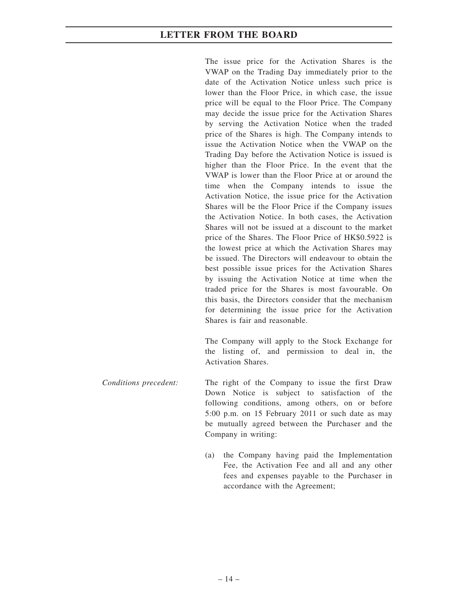The issue price for the Activation Shares is the VWAP on the Trading Day immediately prior to the date of the Activation Notice unless such price is lower than the Floor Price, in which case, the issue price will be equal to the Floor Price. The Company may decide the issue price for the Activation Shares by serving the Activation Notice when the traded price of the Shares is high. The Company intends to issue the Activation Notice when the VWAP on the Trading Day before the Activation Notice is issued is higher than the Floor Price. In the event that the VWAP is lower than the Floor Price at or around the time when the Company intends to issue the Activation Notice, the issue price for the Activation Shares will be the Floor Price if the Company issues the Activation Notice. In both cases, the Activation Shares will not be issued at a discount to the market price of the Shares. The Floor Price of HK\$0.5922 is the lowest price at which the Activation Shares may be issued. The Directors will endeavour to obtain the best possible issue prices for the Activation Shares by issuing the Activation Notice at time when the traded price for the Shares is most favourable. On this basis, the Directors consider that the mechanism for determining the issue price for the Activation Shares is fair and reasonable.

The Company will apply to the Stock Exchange for the listing of, and permission to deal in, the Activation Shares.

- *Conditions precedent:* The right of the Company to issue the first Draw Down Notice is subject to satisfaction of the following conditions, among others, on or before 5:00 p.m. on 15 February 2011 or such date as may be mutually agreed between the Purchaser and the Company in writing:
	- (a) the Company having paid the Implementation Fee, the Activation Fee and all and any other fees and expenses payable to the Purchaser in accordance with the Agreement;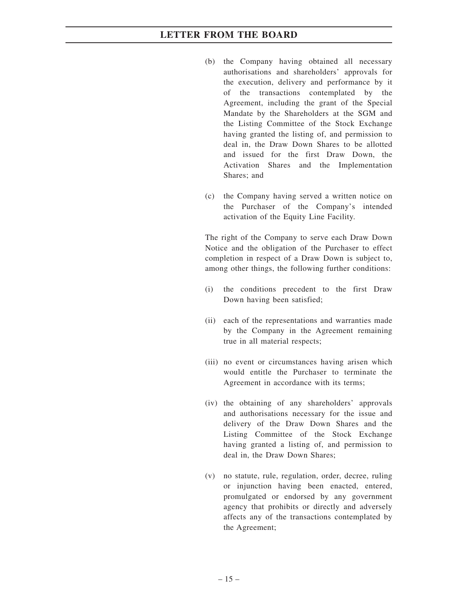- (b) the Company having obtained all necessary authorisations and shareholders' approvals for the execution, delivery and performance by it of the transactions contemplated by the Agreement, including the grant of the Special Mandate by the Shareholders at the SGM and the Listing Committee of the Stock Exchange having granted the listing of, and permission to deal in, the Draw Down Shares to be allotted and issued for the first Draw Down, the Activation Shares and the Implementation Shares; and
- (c) the Company having served a written notice on the Purchaser of the Company's intended activation of the Equity Line Facility.

The right of the Company to serve each Draw Down Notice and the obligation of the Purchaser to effect completion in respect of a Draw Down is subject to, among other things, the following further conditions:

- (i) the conditions precedent to the first Draw Down having been satisfied;
- (ii) each of the representations and warranties made by the Company in the Agreement remaining true in all material respects;
- (iii) no event or circumstances having arisen which would entitle the Purchaser to terminate the Agreement in accordance with its terms;
- (iv) the obtaining of any shareholders' approvals and authorisations necessary for the issue and delivery of the Draw Down Shares and the Listing Committee of the Stock Exchange having granted a listing of, and permission to deal in, the Draw Down Shares;
- (v) no statute, rule, regulation, order, decree, ruling or injunction having been enacted, entered, promulgated or endorsed by any government agency that prohibits or directly and adversely affects any of the transactions contemplated by the Agreement;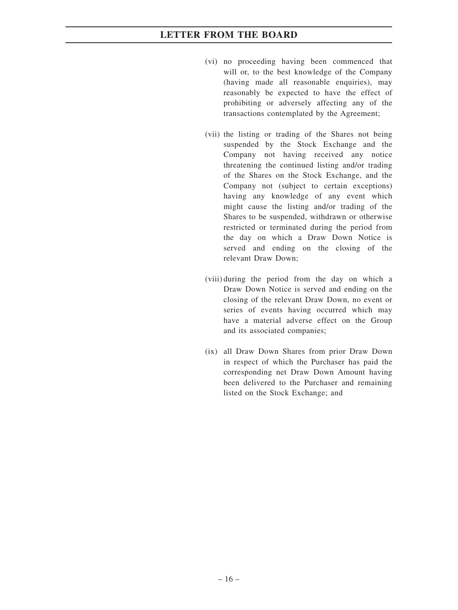- (vi) no proceeding having been commenced that will or, to the best knowledge of the Company (having made all reasonable enquiries), may reasonably be expected to have the effect of prohibiting or adversely affecting any of the transactions contemplated by the Agreement;
- (vii) the listing or trading of the Shares not being suspended by the Stock Exchange and the Company not having received any notice threatening the continued listing and/or trading of the Shares on the Stock Exchange, and the Company not (subject to certain exceptions) having any knowledge of any event which might cause the listing and/or trading of the Shares to be suspended, withdrawn or otherwise restricted or terminated during the period from the day on which a Draw Down Notice is served and ending on the closing of the relevant Draw Down;
- (viii) during the period from the day on which a Draw Down Notice is served and ending on the closing of the relevant Draw Down, no event or series of events having occurred which may have a material adverse effect on the Group and its associated companies;
- (ix) all Draw Down Shares from prior Draw Down in respect of which the Purchaser has paid the corresponding net Draw Down Amount having been delivered to the Purchaser and remaining listed on the Stock Exchange; and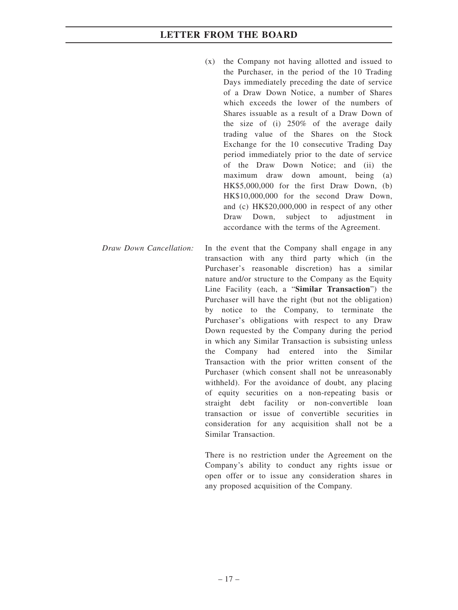- (x) the Company not having allotted and issued to the Purchaser, in the period of the 10 Trading Days immediately preceding the date of service of a Draw Down Notice, a number of Shares which exceeds the lower of the numbers of Shares issuable as a result of a Draw Down of the size of (i) 250% of the average daily trading value of the Shares on the Stock Exchange for the 10 consecutive Trading Day period immediately prior to the date of service of the Draw Down Notice; and (ii) the maximum draw down amount, being (a) HK\$5,000,000 for the first Draw Down, (b) HK\$10,000,000 for the second Draw Down, and (c) HK\$20,000,000 in respect of any other Draw Down, subject to adjustment in accordance with the terms of the Agreement.
- *Draw Down Cancellation:* In the event that the Company shall engage in any transaction with any third party which (in the Purchaser's reasonable discretion) has a similar nature and/or structure to the Company as the Equity Line Facility (each, a "**Similar Transaction**") the Purchaser will have the right (but not the obligation) by notice to the Company, to terminate the Purchaser's obligations with respect to any Draw Down requested by the Company during the period in which any Similar Transaction is subsisting unless the Company had entered into the Similar Transaction with the prior written consent of the Purchaser (which consent shall not be unreasonably withheld). For the avoidance of doubt, any placing of equity securities on a non-repeating basis or straight debt facility or non-convertible loan transaction or issue of convertible securities in consideration for any acquisition shall not be a Similar Transaction.

There is no restriction under the Agreement on the Company's ability to conduct any rights issue or open offer or to issue any consideration shares in any proposed acquisition of the Company.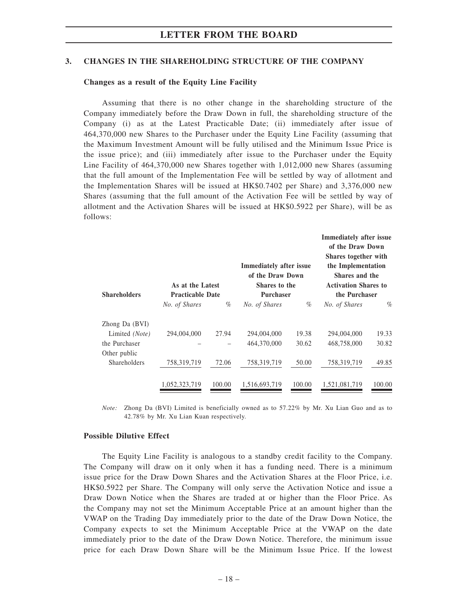#### **3. CHANGES IN THE SHAREHOLDING STRUCTURE OF THE COMPANY**

#### **Changes as a result of the Equity Line Facility**

Assuming that there is no other change in the shareholding structure of the Company immediately before the Draw Down in full, the shareholding structure of the Company (i) as at the Latest Practicable Date; (ii) immediately after issue of 464,370,000 new Shares to the Purchaser under the Equity Line Facility (assuming that the Maximum Investment Amount will be fully utilised and the Minimum Issue Price is the issue price); and (iii) immediately after issue to the Purchaser under the Equity Line Facility of 464,370,000 new Shares together with 1,012,000 new Shares (assuming that the full amount of the Implementation Fee will be settled by way of allotment and the Implementation Shares will be issued at HK\$0.7402 per Share) and 3,376,000 new Shares (assuming that the full amount of the Activation Fee will be settled by way of allotment and the Activation Shares will be issued at HK\$0.5922 per Share), will be as follows:

| <b>Shareholders</b>           | As at the Latest<br><b>Practicable Date</b> |        | <b>Immediately after issue</b><br>of the Draw Down<br>Shares to the<br><b>Purchaser</b> |        | Immediately after issue<br>of the Draw Down<br>Shares together with<br>the Implementation<br>Shares and the<br><b>Activation Shares to</b><br>the Purchaser |        |
|-------------------------------|---------------------------------------------|--------|-----------------------------------------------------------------------------------------|--------|-------------------------------------------------------------------------------------------------------------------------------------------------------------|--------|
|                               | No. of Shares                               | $\%$   | No. of Shares                                                                           | $\%$   | No. of Shares                                                                                                                                               | $\%$   |
| Zhong Da (BVI)                |                                             |        |                                                                                         |        |                                                                                                                                                             |        |
| Limited (Note)                | 294,004,000                                 | 27.94  | 294,004,000                                                                             | 19.38  | 294,004,000                                                                                                                                                 | 19.33  |
| the Purchaser<br>Other public |                                             |        | 464,370,000                                                                             | 30.62  | 468,758,000                                                                                                                                                 | 30.82  |
| <b>Shareholders</b>           | 758,319,719                                 | 72.06  | 758,319,719                                                                             | 50.00  | 758,319,719                                                                                                                                                 | 49.85  |
|                               | 1,052,323,719                               | 100.00 | 1,516,693,719                                                                           | 100.00 | 1,521,081,719                                                                                                                                               | 100.00 |

*Note:* Zhong Da (BVI) Limited is beneficially owned as to 57.22% by Mr. Xu Lian Guo and as to 42.78% by Mr. Xu Lian Kuan respectively.

#### **Possible Dilutive Effect**

The Equity Line Facility is analogous to a standby credit facility to the Company. The Company will draw on it only when it has a funding need. There is a minimum issue price for the Draw Down Shares and the Activation Shares at the Floor Price, i.e. HK\$0.5922 per Share. The Company will only serve the Activation Notice and issue a Draw Down Notice when the Shares are traded at or higher than the Floor Price. As the Company may not set the Minimum Acceptable Price at an amount higher than the VWAP on the Trading Day immediately prior to the date of the Draw Down Notice, the Company expects to set the Minimum Acceptable Price at the VWAP on the date immediately prior to the date of the Draw Down Notice. Therefore, the minimum issue price for each Draw Down Share will be the Minimum Issue Price. If the lowest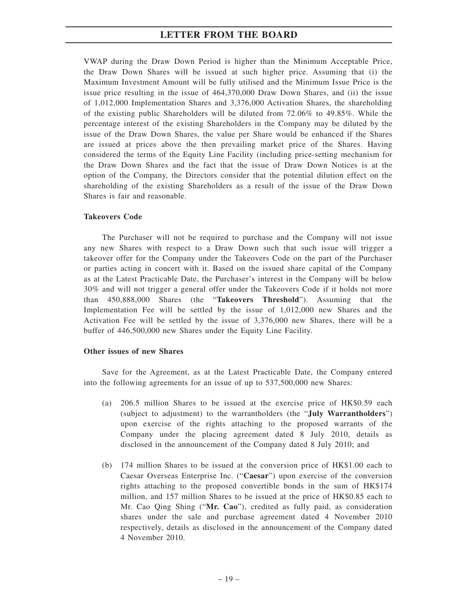VWAP during the Draw Down Period is higher than the Minimum Acceptable Price, the Draw Down Shares will be issued at such higher price. Assuming that (i) the Maximum Investment Amount will be fully utilised and the Minimum Issue Price is the issue price resulting in the issue of 464,370,000 Draw Down Shares, and (ii) the issue of 1,012,000 Implementation Shares and 3,376,000 Activation Shares, the shareholding of the existing public Shareholders will be diluted from 72.06% to 49.85%. While the percentage interest of the existing Shareholders in the Company may be diluted by the issue of the Draw Down Shares, the value per Share would be enhanced if the Shares are issued at prices above the then prevailing market price of the Shares. Having considered the terms of the Equity Line Facility (including price-setting mechanism for the Draw Down Shares and the fact that the issue of Draw Down Notices is at the option of the Company, the Directors consider that the potential dilution effect on the shareholding of the existing Shareholders as a result of the issue of the Draw Down Shares is fair and reasonable.

#### **Takeovers Code**

The Purchaser will not be required to purchase and the Company will not issue any new Shares with respect to a Draw Down such that such issue will trigger a takeover offer for the Company under the Takeovers Code on the part of the Purchaser or parties acting in concert with it. Based on the issued share capital of the Company as at the Latest Practicable Date, the Purchaser's interest in the Company will be below 30% and will not trigger a general offer under the Takeovers Code if it holds not more than 450,888,000 Shares (the "**Takeovers Threshold**"). Assuming that the Implementation Fee will be settled by the issue of 1,012,000 new Shares and the Activation Fee will be settled by the issue of 3,376,000 new Shares, there will be a buffer of 446,500,000 new Shares under the Equity Line Facility.

#### **Other issues of new Shares**

Save for the Agreement, as at the Latest Practicable Date, the Company entered into the following agreements for an issue of up to 537,500,000 new Shares:

- (a) 206.5 million Shares to be issued at the exercise price of HK\$0.59 each (subject to adjustment) to the warrantholders (the "**July Warrantholders**") upon exercise of the rights attaching to the proposed warrants of the Company under the placing agreement dated 8 July 2010, details as disclosed in the announcement of the Company dated 8 July 2010; and
- (b) 174 million Shares to be issued at the conversion price of HK\$1.00 each to Caesar Overseas Enterprise Inc. ("**Caesar**") upon exercise of the conversion rights attaching to the proposed convertible bonds in the sum of HK\$174 million, and 157 million Shares to be issued at the price of HK\$0.85 each to Mr. Cao Qing Shing ("**Mr. Cao**"), credited as fully paid, as consideration shares under the sale and purchase agreement dated 4 November 2010 respectively, details as disclosed in the announcement of the Company dated 4 November 2010.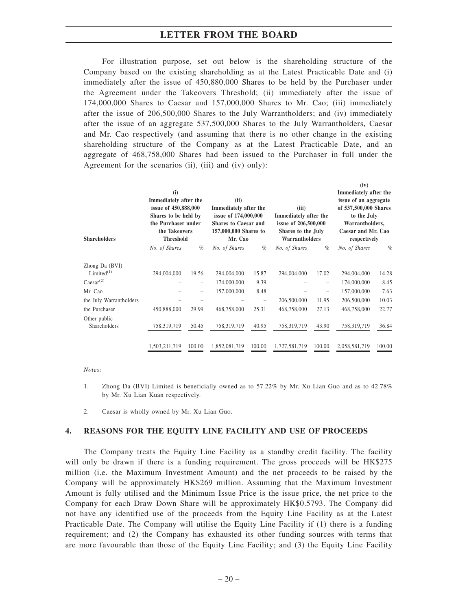For illustration purpose, set out below is the shareholding structure of the Company based on the existing shareholding as at the Latest Practicable Date and (i) immediately after the issue of 450,880,000 Shares to be held by the Purchaser under the Agreement under the Takeovers Threshold; (ii) immediately after the issue of 174,000,000 Shares to Caesar and 157,000,000 Shares to Mr. Cao; (iii) immediately after the issue of 206,500,000 Shares to the July Warrantholders; and (iv) immediately after the issue of an aggregate 537,500,000 Shares to the July Warrantholders, Caesar and Mr. Cao respectively (and assuming that there is no other change in the existing shareholding structure of the Company as at the Latest Practicable Date, and an aggregate of 468,758,000 Shares had been issued to the Purchaser in full under the Agreement for the scenarios (ii), (iii) and (iv) only):

|                                                     | (i)<br>Immediately after the<br>issue of 450,888,000<br>Shares to be held by<br>the Purchaser under<br>the Takeovers |                                   | (ii)<br>Immediately after the<br>issue of 174,000,000<br><b>Shares to Caesar and</b><br>157,000,000 Shares to |               | (iii)<br>Immediately after the<br>issue of 206,500,000<br>Shares to the July |                | (iv)<br>Immediately after the<br>issue of an aggregate<br>of 537,500,000 Shares<br>to the July<br>Warrantholders,<br>Caesar and Mr. Cao |                        |
|-----------------------------------------------------|----------------------------------------------------------------------------------------------------------------------|-----------------------------------|---------------------------------------------------------------------------------------------------------------|---------------|------------------------------------------------------------------------------|----------------|-----------------------------------------------------------------------------------------------------------------------------------------|------------------------|
| <b>Shareholders</b>                                 | <b>Threshold</b><br>No. of Shares                                                                                    | $\%$                              | Mr. Cao<br>No. of Shares                                                                                      | $\%$          | Warrantholders<br>No. of Shares                                              | $\%$           | respectively<br>No. of Shares                                                                                                           | $\%$                   |
| Zhong Da (BVI)<br>Limited $(1)$<br>$Caesar^{(2)}$   | 294,004,000                                                                                                          | 19.56                             | 294,004,000<br>174,000,000                                                                                    | 15.87<br>9.39 | 294,004,000                                                                  | 17.02          | 294,004,000<br>174,000,000                                                                                                              | 14.28<br>8.45          |
| Mr. Cao<br>the July Warrantholders<br>the Purchaser | 450,888,000                                                                                                          | $\overline{\phantom{0}}$<br>29.99 | 157,000,000<br>468,758,000                                                                                    | 8.48<br>25.31 | 206,500,000<br>468,758,000                                                   | 11.95<br>27.13 | 157,000,000<br>206,500,000<br>468,758,000                                                                                               | 7.63<br>10.03<br>22.77 |
| Other public<br>Shareholders                        | 758,319,719                                                                                                          | 50.45                             | 758,319,719                                                                                                   | 40.95         | 758,319,719                                                                  | 43.90          | 758,319,719                                                                                                                             | 36.84                  |
|                                                     | 1,503,211,719                                                                                                        | 100.00                            | 1,852,081,719                                                                                                 | 100.00        | 1,727,581,719                                                                | 100.00         | 2,058,581,719                                                                                                                           | 100.00                 |

#### *Notes:*

- 1. Zhong Da (BVI) Limited is beneficially owned as to 57.22% by Mr. Xu Lian Guo and as to 42.78% by Mr. Xu Lian Kuan respectively.
- 2. Caesar is wholly owned by Mr. Xu Lian Guo.

#### **4. REASONS FOR THE EQUITY LINE FACILITY AND USE OF PROCEEDS**

The Company treats the Equity Line Facility as a standby credit facility. The facility will only be drawn if there is a funding requirement. The gross proceeds will be HK\$275 million (i.e. the Maximum Investment Amount) and the net proceeds to be raised by the Company will be approximately HK\$269 million. Assuming that the Maximum Investment Amount is fully utilised and the Minimum Issue Price is the issue price, the net price to the Company for each Draw Down Share will be approximately HK\$0.5793. The Company did not have any identified use of the proceeds from the Equity Line Facility as at the Latest Practicable Date. The Company will utilise the Equity Line Facility if (1) there is a funding requirement; and (2) the Company has exhausted its other funding sources with terms that are more favourable than those of the Equity Line Facility; and (3) the Equity Line Facility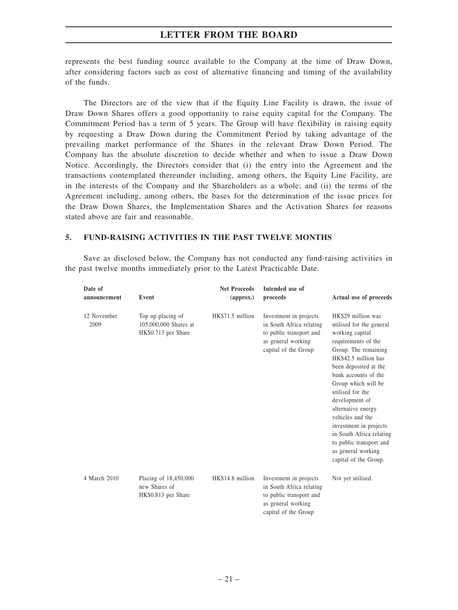represents the best funding source available to the Company at the time of Draw Down, after considering factors such as cost of alternative financing and timing of the availability of the funds.

The Directors are of the view that if the Equity Line Facility is drawn, the issue of Draw Down Shares offers a good opportunity to raise equity capital for the Company. The Commitment Period has a term of 5 years. The Group will have flexibility in raising equity by requesting a Draw Down during the Commitment Period by taking advantage of the prevailing market performance of the Shares in the relevant Draw Down Period. The Company has the absolute discretion to decide whether and when to issue a Draw Down Notice. Accordingly, the Directors consider that (i) the entry into the Agreement and the transactions contemplated thereunder including, among others, the Equity Line Facility, are in the interests of the Company and the Shareholders as a whole; and (ii) the terms of the Agreement including, among others, the bases for the determination of the issue prices for the Draw Down Shares, the Implementation Shares and the Activation Shares for reasons stated above are fair and reasonable.

#### **5. FUND-RAISING ACTIVITIES IN THE PAST TWELVE MONTHS**

Save as disclosed below, the Company has not conducted any fund-raising activities in the past twelve months immediately prior to the Latest Practicable Date.

| Date of<br>announcement | Event                                                             | <b>Net Proceeds</b><br>$\left($ approx. $\right)$ | Intended use of<br>proceeds                                                                                                 | Actual use of proceeds                                                                                                                                                                                                                                                                                                                                                                                                           |
|-------------------------|-------------------------------------------------------------------|---------------------------------------------------|-----------------------------------------------------------------------------------------------------------------------------|----------------------------------------------------------------------------------------------------------------------------------------------------------------------------------------------------------------------------------------------------------------------------------------------------------------------------------------------------------------------------------------------------------------------------------|
| 12 November<br>2009     | Top up placing of<br>105,000,000 Shares at<br>HK\$0.713 per Share | HK\$71.5 million                                  | Investment in projects<br>in South Africa relating<br>to public transport and<br>as general working<br>capital of the Group | HK\$29 million was<br>utilised for the general<br>working capital<br>requirements of the<br>Group. The remaining<br>HK\$42.5 million has<br>been deposited at the<br>bank accounts of the<br>Group which will be<br>utilised for the<br>development of<br>alternative energy<br>vehicles and the<br>investment in projects<br>in South Africa relating<br>to public transport and<br>as general working<br>capital of the Group. |
| 4 March 2010            | Placing of 18,450,000<br>new Shares of<br>HK\$0.813 per Share     | HK\$14.8 million                                  | Investment in projects<br>in South Africa relating<br>to public transport and<br>as general working<br>capital of the Group | Not yet utilised.                                                                                                                                                                                                                                                                                                                                                                                                                |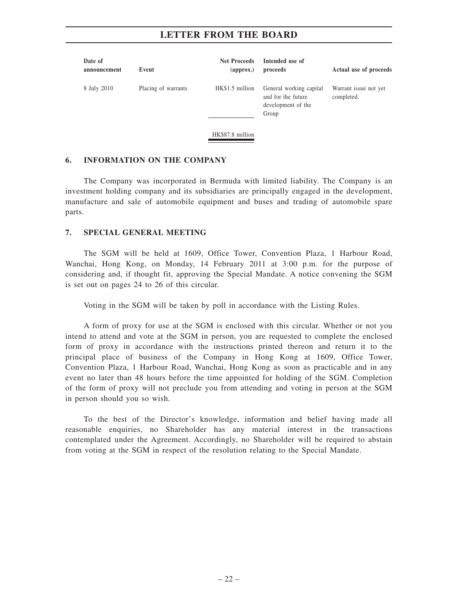| Date of<br>announcement | Event               | <b>Net Proceeds</b><br>$\left($ approx. $\right)$ | Intended use of<br>proceeds                                                  | Actual use of proceeds              |
|-------------------------|---------------------|---------------------------------------------------|------------------------------------------------------------------------------|-------------------------------------|
| 8 July 2010             | Placing of warrants | HK\$1.5 million<br>HK\$87.8 million               | General working capital<br>and for the future<br>development of the<br>Group | Warrant issue not yet<br>completed. |

#### **6. INFORMATION ON THE COMPANY**

The Company was incorporated in Bermuda with limited liability. The Company is an investment holding company and its subsidiaries are principally engaged in the development, manufacture and sale of automobile equipment and buses and trading of automobile spare parts.

#### **7. SPECIAL GENERAL MEETING**

The SGM will be held at 1609, Office Tower, Convention Plaza, 1 Harbour Road, Wanchai, Hong Kong, on Monday, 14 February 2011 at 3:00 p.m. for the purpose of considering and, if thought fit, approving the Special Mandate. A notice convening the SGM is set out on pages 24 to 26 of this circular.

Voting in the SGM will be taken by poll in accordance with the Listing Rules.

A form of proxy for use at the SGM is enclosed with this circular. Whether or not you intend to attend and vote at the SGM in person, you are requested to complete the enclosed form of proxy in accordance with the instructions printed thereon and return it to the principal place of business of the Company in Hong Kong at 1609, Office Tower, Convention Plaza, 1 Harbour Road, Wanchai, Hong Kong as soon as practicable and in any event no later than 48 hours before the time appointed for holding of the SGM. Completion of the form of proxy will not preclude you from attending and voting in person at the SGM in person should you so wish.

To the best of the Director's knowledge, information and belief having made all reasonable enquiries, no Shareholder has any material interest in the transactions contemplated under the Agreement. Accordingly, no Shareholder will be required to abstain from voting at the SGM in respect of the resolution relating to the Special Mandate.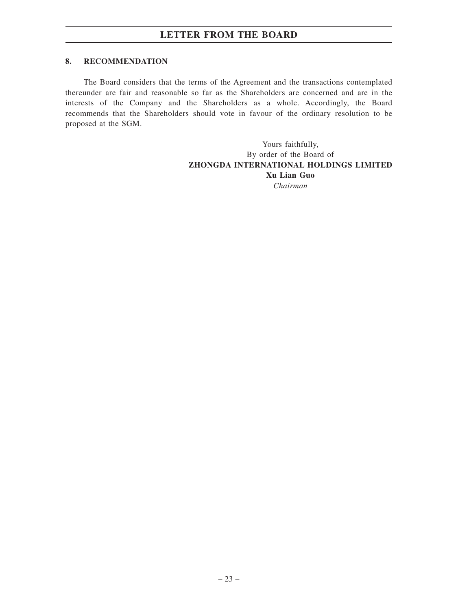### **8. RECOMMENDATION**

The Board considers that the terms of the Agreement and the transactions contemplated thereunder are fair and reasonable so far as the Shareholders are concerned and are in the interests of the Company and the Shareholders as a whole. Accordingly, the Board recommends that the Shareholders should vote in favour of the ordinary resolution to be proposed at the SGM.

> Yours faithfully, By order of the Board of **ZHONGDA INTERNATIONAL HOLDINGS LIMITED Xu Lian Guo** *Chairman*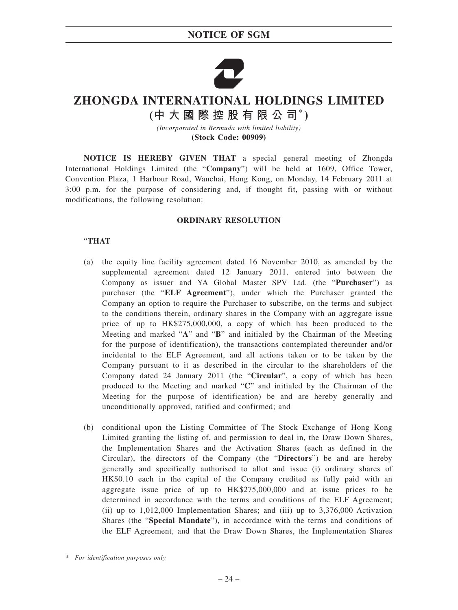## **NOTICE OF SGM**



# **ZHONGDA INTERNATIONAL HOLDINGS LIMITED**

**(中大國際控股有限公司\* )**

*(Incorporated in Bermuda with limited liability)* **(Stock Code: 00909)**

**NOTICE IS HEREBY GIVEN THAT** a special general meeting of Zhongda International Holdings Limited (the "**Company**") will be held at 1609, Office Tower, Convention Plaza, 1 Harbour Road, Wanchai, Hong Kong, on Monday, 14 February 2011 at 3:00 p.m. for the purpose of considering and, if thought fit, passing with or without modifications, the following resolution:

#### **ORDINARY RESOLUTION**

### "**THAT**

- (a) the equity line facility agreement dated 16 November 2010, as amended by the supplemental agreement dated 12 January 2011, entered into between the Company as issuer and YA Global Master SPV Ltd. (the "**Purchaser**") as purchaser (the "**ELF Agreement**"), under which the Purchaser granted the Company an option to require the Purchaser to subscribe, on the terms and subject to the conditions therein, ordinary shares in the Company with an aggregate issue price of up to HK\$275,000,000, a copy of which has been produced to the Meeting and marked "**A**" and "**B**" and initialed by the Chairman of the Meeting for the purpose of identification), the transactions contemplated thereunder and/or incidental to the ELF Agreement, and all actions taken or to be taken by the Company pursuant to it as described in the circular to the shareholders of the Company dated 24 January 2011 (the "**Circular**", a copy of which has been produced to the Meeting and marked "**C**" and initialed by the Chairman of the Meeting for the purpose of identification) be and are hereby generally and unconditionally approved, ratified and confirmed; and
- (b) conditional upon the Listing Committee of The Stock Exchange of Hong Kong Limited granting the listing of, and permission to deal in, the Draw Down Shares, the Implementation Shares and the Activation Shares (each as defined in the Circular), the directors of the Company (the "**Directors**") be and are hereby generally and specifically authorised to allot and issue (i) ordinary shares of HK\$0.10 each in the capital of the Company credited as fully paid with an aggregate issue price of up to HK\$275,000,000 and at issue prices to be determined in accordance with the terms and conditions of the ELF Agreement; (ii) up to 1,012,000 Implementation Shares; and (iii) up to 3,376,000 Activation Shares (the "**Special Mandate**"), in accordance with the terms and conditions of the ELF Agreement, and that the Draw Down Shares, the Implementation Shares

*<sup>\*</sup> For identification purposes only*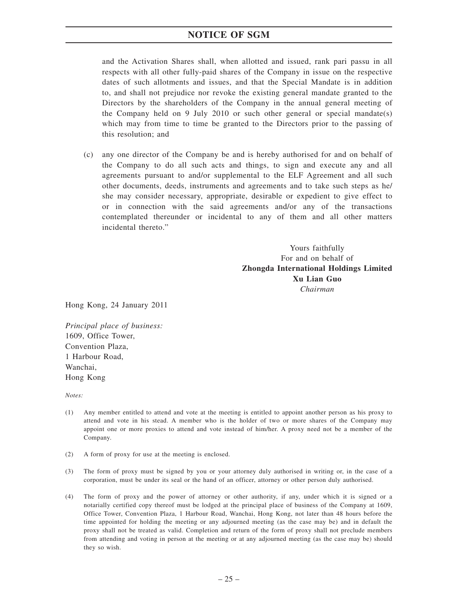## **NOTICE OF SGM**

and the Activation Shares shall, when allotted and issued, rank pari passu in all respects with all other fully-paid shares of the Company in issue on the respective dates of such allotments and issues, and that the Special Mandate is in addition to, and shall not prejudice nor revoke the existing general mandate granted to the Directors by the shareholders of the Company in the annual general meeting of the Company held on 9 July 2010 or such other general or special mandate(s) which may from time to time be granted to the Directors prior to the passing of this resolution; and

(c) any one director of the Company be and is hereby authorised for and on behalf of the Company to do all such acts and things, to sign and execute any and all agreements pursuant to and/or supplemental to the ELF Agreement and all such other documents, deeds, instruments and agreements and to take such steps as he/ she may consider necessary, appropriate, desirable or expedient to give effect to or in connection with the said agreements and/or any of the transactions contemplated thereunder or incidental to any of them and all other matters incidental thereto."

> Yours faithfully For and on behalf of **Zhongda International Holdings Limited Xu Lian Guo** *Chairman*

Hong Kong, 24 January 2011

*Principal place of business:* 1609, Office Tower, Convention Plaza, 1 Harbour Road, Wanchai, Hong Kong

*Notes:*

- (1) Any member entitled to attend and vote at the meeting is entitled to appoint another person as his proxy to attend and vote in his stead. A member who is the holder of two or more shares of the Company may appoint one or more proxies to attend and vote instead of him/her. A proxy need not be a member of the Company.
- (2) A form of proxy for use at the meeting is enclosed.
- (3) The form of proxy must be signed by you or your attorney duly authorised in writing or, in the case of a corporation, must be under its seal or the hand of an officer, attorney or other person duly authorised.
- (4) The form of proxy and the power of attorney or other authority, if any, under which it is signed or a notarially certified copy thereof must be lodged at the principal place of business of the Company at 1609, Office Tower, Convention Plaza, 1 Harbour Road, Wanchai, Hong Kong, not later than 48 hours before the time appointed for holding the meeting or any adjourned meeting (as the case may be) and in default the proxy shall not be treated as valid. Completion and return of the form of proxy shall not preclude members from attending and voting in person at the meeting or at any adjourned meeting (as the case may be) should they so wish.